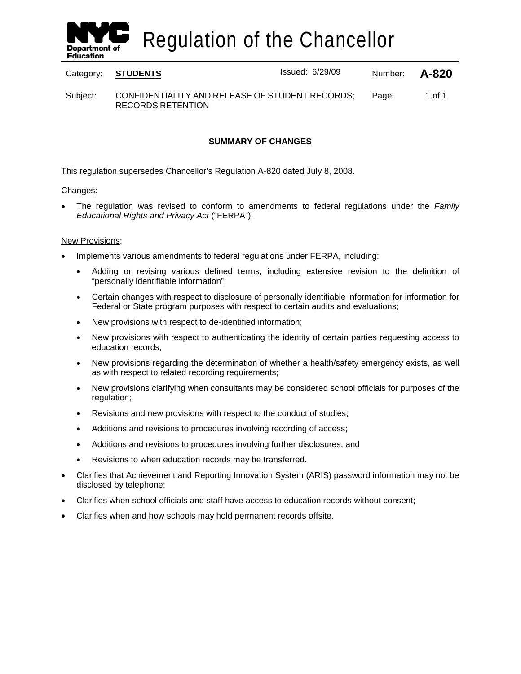

Regulation of the Chancellor

Category: **STUDENTS** Issued: 6/29/09 Number: **A-820**

Subject: CONFIDENTIALITY AND RELEASE OF STUDENT RECORDS; RECORDS RETENTION Page: 1 of 1

### **SUMMARY OF CHANGES**

This regulation supersedes Chancellor's Regulation A-820 dated July 8, 2008.

#### Changes:

• The regulation was revised to conform to amendments to federal regulations under the *Family Educational Rights and Privacy Act* ("FERPA").

#### New Provisions:

- Implements various amendments to federal regulations under FERPA, including:
	- Adding or revising various defined terms, including extensive revision to the definition of "personally identifiable information";
	- Certain changes with respect to disclosure of personally identifiable information for information for Federal or State program purposes with respect to certain audits and evaluations;
	- New provisions with respect to de-identified information;
	- New provisions with respect to authenticating the identity of certain parties requesting access to education records;
	- New provisions regarding the determination of whether a health/safety emergency exists, as well as with respect to related recording requirements;
	- New provisions clarifying when consultants may be considered school officials for purposes of the regulation;
	- Revisions and new provisions with respect to the conduct of studies;
	- Additions and revisions to procedures involving recording of access;
	- Additions and revisions to procedures involving further disclosures; and
	- Revisions to when education records may be transferred.
- Clarifies that Achievement and Reporting Innovation System (ARIS) password information may not be disclosed by telephone;
- Clarifies when school officials and staff have access to education records without consent;
- Clarifies when and how schools may hold permanent records offsite.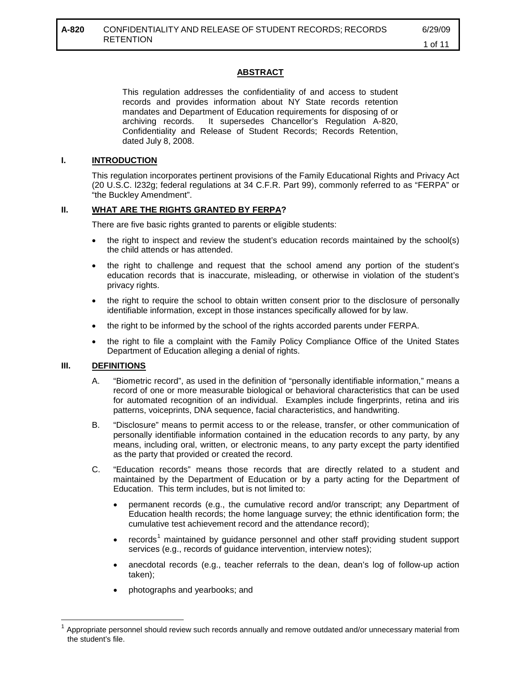### **ABSTRACT**

This regulation addresses the confidentiality of and access to student records and provides information about NY State records retention mandates and Department of Education requirements for disposing of or archiving records. It supersedes Chancellor's Regulation A-820, Confidentiality and Release of Student Records; Records Retention, dated July 8, 2008.

#### **I. INTRODUCTION**

This regulation incorporates pertinent provisions of the Family Educational Rights and Privacy Act (20 U.S.C. l232g; federal regulations at 34 C.F.R. Part 99), commonly referred to as "FERPA" or "the Buckley Amendment".

#### **II. WHAT ARE THE RIGHTS GRANTED BY FERPA?**

There are five basic rights granted to parents or eligible students:

- the right to inspect and review the student's education records maintained by the school(s) the child attends or has attended.
- the right to challenge and request that the school amend any portion of the student's education records that is inaccurate, misleading, or otherwise in violation of the student's privacy rights.
- the right to require the school to obtain written consent prior to the disclosure of personally identifiable information, except in those instances specifically allowed for by law.
- the right to be informed by the school of the rights accorded parents under FERPA.
- the right to file a complaint with the Family Policy Compliance Office of the United States Department of Education alleging a denial of rights.

#### **III. DEFINITIONS**

- A. "Biometric record", as used in the definition of "personally identifiable information," means a record of one or more measurable biological or behavioral characteristics that can be used for automated recognition of an individual. Examples include fingerprints, retina and iris patterns, voiceprints, DNA sequence, facial characteristics, and handwriting.
- B. "Disclosure" means to permit access to or the release, transfer, or other communication of personally identifiable information contained in the education records to any party, by any means, including oral, written, or electronic means, to any party except the party identified as the party that provided or created the record.
- C. "Education records" means those records that are directly related to a student and maintained by the Department of Education or by a party acting for the Department of Education. This term includes, but is not limited to:
	- permanent records (e.g., the cumulative record and/or transcript; any Department of Education health records; the home language survey; the ethnic identification form; the cumulative test achievement record and the attendance record);
	- records<sup>[1](#page-1-0)</sup> maintained by guidance personnel and other staff providing student support services (e.g., records of guidance intervention, interview notes);
	- anecdotal records (e.g., teacher referrals to the dean, dean's log of follow-up action taken);
	- photographs and yearbooks; and

<span id="page-1-0"></span><sup>1</sup> Appropriate personnel should review such records annually and remove outdated and/or unnecessary material from the student's file.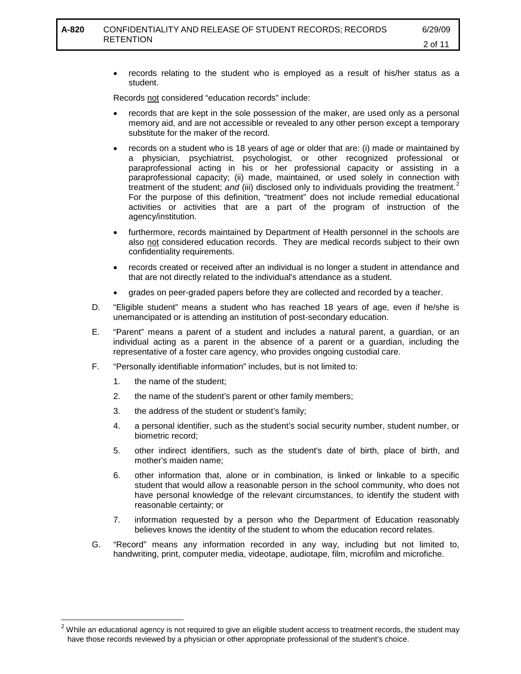• records relating to the student who is employed as a result of his/her status as a student.

Records not considered "education records" include:

- records that are kept in the sole possession of the maker, are used only as a personal memory aid, and are not accessible or revealed to any other person except a temporary substitute for the maker of the record.
- records on a student who is 18 years of age or older that are: (i) made or maintained by a physician, psychiatrist, psychologist, or other recognized professional or paraprofessional acting in his or her professional capacity or assisting in a paraprofessional capacity; (ii) made, maintained, or used solely in connection with treatment of the student; *and* (iii) disclosed only to individuals providing the treatment.<sup>[2](#page-2-0)</sup> For the purpose of this definition, "treatment" does not include remedial educational activities or activities that are a part of the program of instruction of the agency/institution.
- furthermore, records maintained by Department of Health personnel in the schools are also not considered education records. They are medical records subject to their own confidentiality requirements.
- records created or received after an individual is no longer a student in attendance and that are not directly related to the individual's attendance as a student.
- grades on peer-graded papers before they are collected and recorded by a teacher.
- D. "Eligible student" means a student who has reached 18 years of age, even if he/she is unemancipated or is attending an institution of post-secondary education.
- E. "Parent" means a parent of a student and includes a natural parent, a guardian, or an individual acting as a parent in the absence of a parent or a guardian, including the representative of a foster care agency, who provides ongoing custodial care.
- F. "Personally identifiable information" includes, but is not limited to:
	- 1. the name of the student;

 $\overline{a}$ 

- 2. the name of the student's parent or other family members;
- 3. the address of the student or student's family;
- 4. a personal identifier, such as the student's social security number, student number, or biometric record;
- 5. other indirect identifiers, such as the student's date of birth, place of birth, and mother's maiden name;
- 6. other information that, alone or in combination, is linked or linkable to a specific student that would allow a reasonable person in the school community, who does not have personal knowledge of the relevant circumstances, to identify the student with reasonable certainty; or
- 7. information requested by a person who the Department of Education reasonably believes knows the identity of the student to whom the education record relates.
- G. "Record" means any information recorded in any way, including but not limited to, handwriting, print, computer media, videotape, audiotape, film, microfilm and microfiche.

<span id="page-2-0"></span> $^{\text{2}}$  While an educational agency is not required to give an eligible student access to treatment records, the student may have those records reviewed by a physician or other appropriate professional of the student's choice.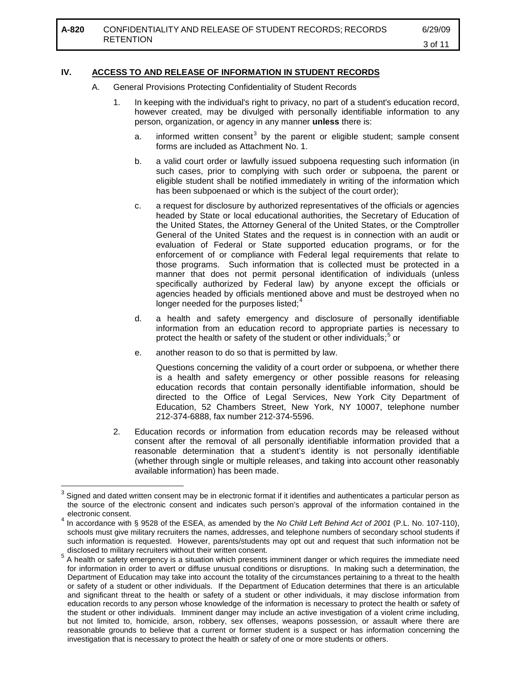# **IV. ACCESS TO AND RELEASE OF INFORMATION IN STUDENT RECORDS**

- A. General Provisions Protecting Confidentiality of Student Records
	- 1. In keeping with the individual's right to privacy, no part of a student's education record, however created, may be divulged with personally identifiable information to any person, organization, or agency in any manner **unless** there is:
		- a. informed written consent<sup>[3](#page-3-0)</sup> by the parent or eligible student; sample consent forms are included as Attachment No. 1.
		- b. a valid court order or lawfully issued subpoena requesting such information (in such cases, prior to complying with such order or subpoena, the parent or eligible student shall be notified immediately in writing of the information which has been subpoenaed or which is the subject of the court order);
		- c. a request for disclosure by authorized representatives of the officials or agencies headed by State or local educational authorities, the Secretary of Education of the United States, the Attorney General of the United States, or the Comptroller General of the United States and the request is in connection with an audit or evaluation of Federal or State supported education programs, or for the enforcement of or compliance with Federal legal requirements that relate to those programs. Such information that is collected must be protected in a manner that does not permit personal identification of individuals (unless specifically authorized by Federal law) by anyone except the officials or agencies headed by officials mentioned above and must be destroyed when no longer needed for the purposes listed; $4$
		- d. a health and safety emergency and disclosure of personally identifiable information from an education record to appropriate parties is necessary to protect the health or safety of the student or other individuals;<sup>[5](#page-3-2)</sup> or
		- e. another reason to do so that is permitted by law.

Questions concerning the validity of a court order or subpoena, or whether there is a health and safety emergency or other possible reasons for releasing education records that contain personally identifiable information, should be directed to the Office of Legal Services, New York City Department of Education, 52 Chambers Street, New York, NY 10007, telephone number 212-374-6888, fax number 212-374-5596.

2. Education records or information from education records may be released without consent after the removal of all personally identifiable information provided that a reasonable determination that a student's identity is not personally identifiable (whether through single or multiple releases, and taking into account other reasonably available information) has been made.

<span id="page-3-0"></span><sup>3</sup> Signed and dated written consent may be in electronic format if it identifies and authenticates a particular person as the source of the electronic consent and indicates such person's approval of the information contained in the electronic consent.  $\overline{\phantom{a}}$ 

<span id="page-3-1"></span><sup>4</sup> In accordance with § 9528 of the ESEA, as amended by the *No Child Left Behind Act of 2001* (P.L. No. 107-110), schools must give military recruiters the names, addresses, and telephone numbers of secondary school students if such information is requested. However, parents/students may opt out and request that such information not be disclosed to military recruiters without their written consent.

<span id="page-3-2"></span><sup>5</sup> A health or safety emergency is a situation which presents imminent danger or which requires the immediate need for information in order to avert or diffuse unusual conditions or disruptions. In making such a determination, the Department of Education may take into account the totality of the circumstances pertaining to a threat to the health or safety of a student or other individuals. If the Department of Education determines that there is an articulable and significant threat to the health or safety of a student or other individuals, it may disclose information from education records to any person whose knowledge of the information is necessary to protect the health or safety of the student or other individuals. Imminent danger may include an active investigation of a violent crime including, but not limited to, homicide, arson, robbery, sex offenses, weapons possession, or assault where there are reasonable grounds to believe that a current or former student is a suspect or has information concerning the investigation that is necessary to protect the health or safety of one or more students or others.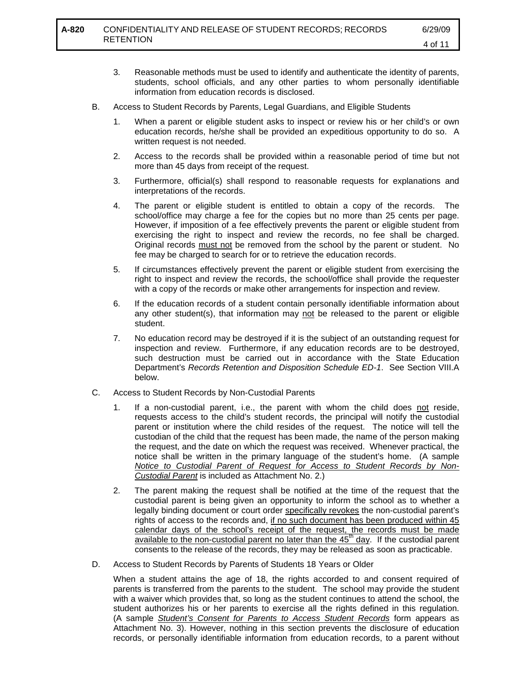- 3. Reasonable methods must be used to identify and authenticate the identity of parents, students, school officials, and any other parties to whom personally identifiable information from education records is disclosed.
- B. Access to Student Records by Parents, Legal Guardians, and Eligible Students
	- 1. When a parent or eligible student asks to inspect or review his or her child's or own education records, he/she shall be provided an expeditious opportunity to do so. A written request is not needed.
	- 2. Access to the records shall be provided within a reasonable period of time but not more than 45 days from receipt of the request.
	- 3. Furthermore, official(s) shall respond to reasonable requests for explanations and interpretations of the records.
	- 4. The parent or eligible student is entitled to obtain a copy of the records. The school/office may charge a fee for the copies but no more than 25 cents per page. However, if imposition of a fee effectively prevents the parent or eligible student from exercising the right to inspect and review the records, no fee shall be charged. Original records must not be removed from the school by the parent or student. No fee may be charged to search for or to retrieve the education records.
	- 5. If circumstances effectively prevent the parent or eligible student from exercising the right to inspect and review the records, the school/office shall provide the requester with a copy of the records or make other arrangements for inspection and review.
	- 6. If the education records of a student contain personally identifiable information about any other student(s), that information may not be released to the parent or eligible student.
	- 7. No education record may be destroyed if it is the subject of an outstanding request for inspection and review. Furthermore, if any education records are to be destroyed, such destruction must be carried out in accordance with the State Education Department's *Records Retention and Disposition Schedule ED-1*. See Section VIII.A below.
- C. Access to Student Records by Non-Custodial Parents
	- 1. If a non-custodial parent, i.e., the parent with whom the child does not reside, requests access to the child's student records, the principal will notify the custodial parent or institution where the child resides of the request. The notice will tell the custodian of the child that the request has been made, the name of the person making the request, and the date on which the request was received. Whenever practical, the notice shall be written in the primary language of the student's home. (A sample *Notice to Custodial Parent of Request for Access to Student Records by Non-Custodial Parent* is included as Attachment No. 2.)
	- 2. The parent making the request shall be notified at the time of the request that the custodial parent is being given an opportunity to inform the school as to whether a legally binding document or court order specifically revokes the non-custodial parent's rights of access to the records and, if no such document has been produced within 45 calendar days of the school's receipt of the request, the records must be made available to the non-custodial parent no later than the  $45<sup>th</sup>$  day. If the custodial parent consents to the release of the records, they may be released as soon as practicable.
- D. Access to Student Records by Parents of Students 18 Years or Older

When a student attains the age of 18, the rights accorded to and consent required of parents is transferred from the parents to the student. The school may provide the student with a waiver which provides that, so long as the student continues to attend the school, the student authorizes his or her parents to exercise all the rights defined in this regulation. (A sample *Student's Consent for Parents to Access Student Records* form appears as Attachment No. 3). However, nothing in this section prevents the disclosure of education records, or personally identifiable information from education records, to a parent without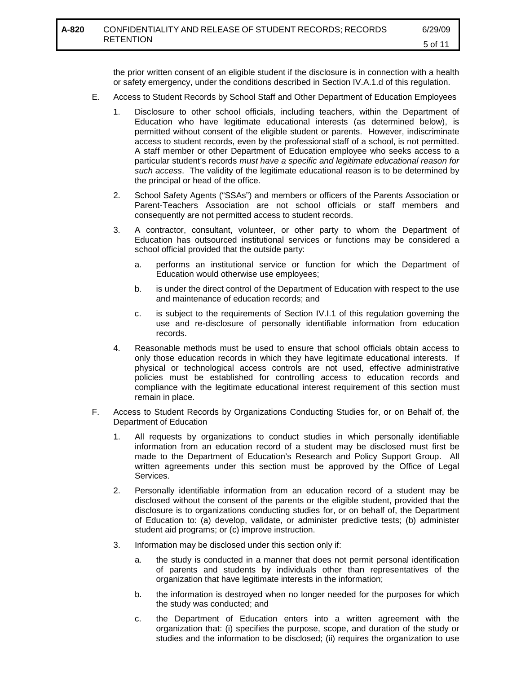the prior written consent of an eligible student if the disclosure is in connection with a health or safety emergency, under the conditions described in Section IV.A.1.d of this regulation.

- E. Access to Student Records by School Staff and Other Department of Education Employees
	- 1. Disclosure to other school officials, including teachers, within the Department of Education who have legitimate educational interests (as determined below), is permitted without consent of the eligible student or parents. However, indiscriminate access to student records, even by the professional staff of a school, is not permitted. A staff member or other Department of Education employee who seeks access to a particular student's records *must have a specific and legitimate educational reason for such access*. The validity of the legitimate educational reason is to be determined by the principal or head of the office.
	- 2. School Safety Agents ("SSAs") and members or officers of the Parents Association or Parent-Teachers Association are not school officials or staff members and consequently are not permitted access to student records.
	- 3. A contractor, consultant, volunteer, or other party to whom the Department of Education has outsourced institutional services or functions may be considered a school official provided that the outside party:
		- a. performs an institutional service or function for which the Department of Education would otherwise use employees;
		- b. is under the direct control of the Department of Education with respect to the use and maintenance of education records; and
		- c. is subject to the requirements of Section IV.I.1 of this regulation governing the use and re-disclosure of personally identifiable information from education records.
	- 4. Reasonable methods must be used to ensure that school officials obtain access to only those education records in which they have legitimate educational interests. If physical or technological access controls are not used, effective administrative policies must be established for controlling access to education records and compliance with the legitimate educational interest requirement of this section must remain in place.
- F. Access to Student Records by Organizations Conducting Studies for, or on Behalf of, the Department of Education
	- 1. All requests by organizations to conduct studies in which personally identifiable information from an education record of a student may be disclosed must first be made to the Department of Education's Research and Policy Support Group. All written agreements under this section must be approved by the Office of Legal Services.
	- 2. Personally identifiable information from an education record of a student may be disclosed without the consent of the parents or the eligible student, provided that the disclosure is to organizations conducting studies for, or on behalf of, the Department of Education to: (a) develop, validate, or administer predictive tests; (b) administer student aid programs; or (c) improve instruction.
	- 3. Information may be disclosed under this section only if:
		- a. the study is conducted in a manner that does not permit personal identification of parents and students by individuals other than representatives of the organization that have legitimate interests in the information;
		- b. the information is destroyed when no longer needed for the purposes for which the study was conducted; and
		- c. the Department of Education enters into a written agreement with the organization that: (i) specifies the purpose, scope, and duration of the study or studies and the information to be disclosed; (ii) requires the organization to use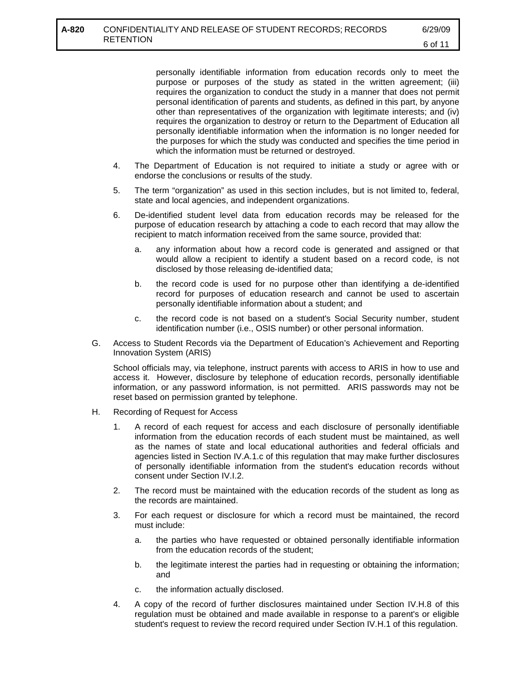personally identifiable information from education records only to meet the purpose or purposes of the study as stated in the written agreement; (iii) requires the organization to conduct the study in a manner that does not permit personal identification of parents and students, as defined in this part, by anyone other than representatives of the organization with legitimate interests; and (iv) requires the organization to destroy or return to the Department of Education all personally identifiable information when the information is no longer needed for the purposes for which the study was conducted and specifies the time period in which the information must be returned or destroyed.

- 4. The Department of Education is not required to initiate a study or agree with or endorse the conclusions or results of the study.
- 5. The term "organization" as used in this section includes, but is not limited to, federal, state and local agencies, and independent organizations.
- 6. De-identified student level data from education records may be released for the purpose of education research by attaching a code to each record that may allow the recipient to match information received from the same source, provided that:
	- a. any information about how a record code is generated and assigned or that would allow a recipient to identify a student based on a record code, is not disclosed by those releasing de-identified data;
	- b. the record code is used for no purpose other than identifying a de-identified record for purposes of education research and cannot be used to ascertain personally identifiable information about a student; and
	- c. the record code is not based on a student's Social Security number, student identification number (i.e., OSIS number) or other personal information.
- G. Access to Student Records via the Department of Education's Achievement and Reporting Innovation System (ARIS)

School officials may, via telephone, instruct parents with access to ARIS in how to use and access it. However, disclosure by telephone of education records, personally identifiable information, or any password information, is not permitted. ARIS passwords may not be reset based on permission granted by telephone.

- H. Recording of Request for Access
	- 1. A record of each request for access and each disclosure of personally identifiable information from the education records of each student must be maintained, as well as the names of state and local educational authorities and federal officials and agencies listed in Section IV.A.1.c of this regulation that may make further disclosures of personally identifiable information from the student's education records without consent under Section IV.I.2.
	- 2. The record must be maintained with the education records of the student as long as the records are maintained.
	- 3. For each request or disclosure for which a record must be maintained, the record must include:
		- a. the parties who have requested or obtained personally identifiable information from the education records of the student;
		- b. the legitimate interest the parties had in requesting or obtaining the information; and
		- c. the information actually disclosed.
	- 4. A copy of the record of further disclosures maintained under Section IV.H.8 of this regulation must be obtained and made available in response to a parent's or eligible student's request to review the record required under Section IV.H.1 of this regulation.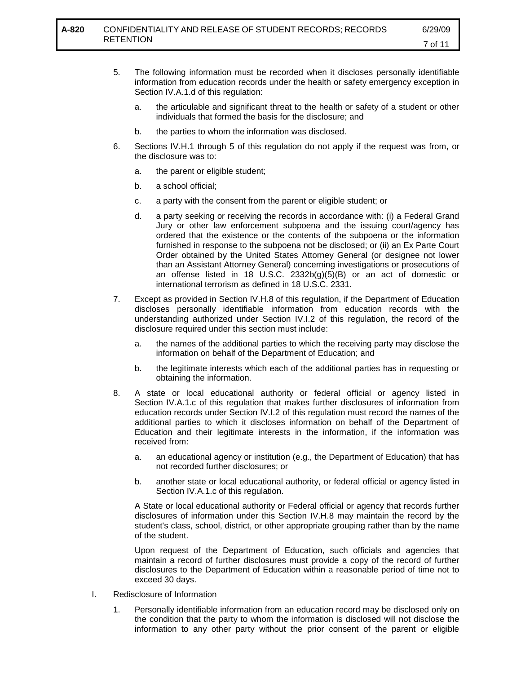- 5. The following information must be recorded when it discloses personally identifiable information from education records under the health or safety emergency exception in Section IV.A.1.d of this regulation:
	- a. the articulable and significant threat to the health or safety of a student or other individuals that formed the basis for the disclosure; and
	- b. the parties to whom the information was disclosed.
- 6. Sections IV.H.1 through 5 of this regulation do not apply if the request was from, or the disclosure was to:
	- a. the parent or eligible student;
	- b. a school official;
	- c. a party with the consent from the parent or eligible student; or
	- d. a party seeking or receiving the records in accordance with: (i) a Federal Grand Jury or other law enforcement subpoena and the issuing court/agency has ordered that the existence or the contents of the subpoena or the information furnished in response to the subpoena not be disclosed; or (ii) an Ex Parte Court Order obtained by the United States Attorney General (or designee not lower than an Assistant Attorney General) concerning investigations or prosecutions of an offense listed in 18 U.S.C. 2332b(g)(5)(B) or an act of domestic or international terrorism as defined in 18 U.S.C. 2331.
- 7. Except as provided in Section IV.H.8 of this regulation, if the Department of Education discloses personally identifiable information from education records with the understanding authorized under Section IV.I.2 of this regulation, the record of the disclosure required under this section must include:
	- a. the names of the additional parties to which the receiving party may disclose the information on behalf of the Department of Education; and
	- b. the legitimate interests which each of the additional parties has in requesting or obtaining the information.
- 8. A state or local educational authority or federal official or agency listed in Section IV.A.1.c of this regulation that makes further disclosures of information from education records under Section IV.I.2 of this regulation must record the names of the additional parties to which it discloses information on behalf of the Department of Education and their legitimate interests in the information, if the information was received from:
	- a. an educational agency or institution (e.g., the Department of Education) that has not recorded further disclosures; or
	- b. another state or local educational authority, or federal official or agency listed in Section IV.A.1.c of this regulation.

A State or local educational authority or Federal official or agency that records further disclosures of information under this Section IV.H.8 may maintain the record by the student's class, school, district, or other appropriate grouping rather than by the name of the student.

Upon request of the Department of Education, such officials and agencies that maintain a record of further disclosures must provide a copy of the record of further disclosures to the Department of Education within a reasonable period of time not to exceed 30 days.

- I. Redisclosure of Information
	- 1. Personally identifiable information from an education record may be disclosed only on the condition that the party to whom the information is disclosed will not disclose the information to any other party without the prior consent of the parent or eligible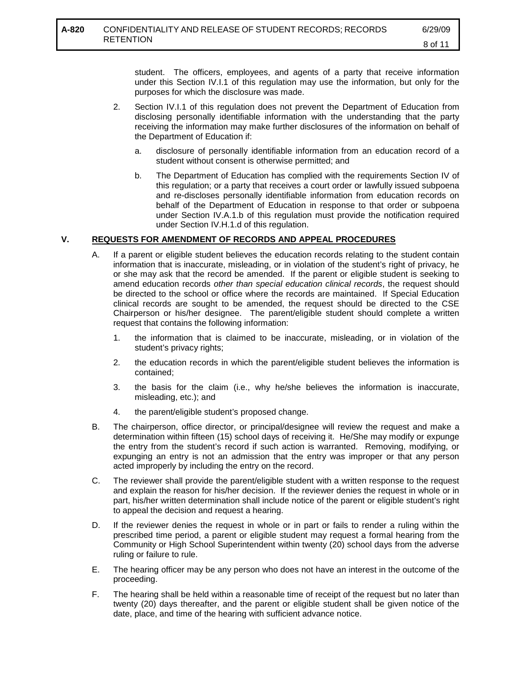student. The officers, employees, and agents of a party that receive information under this Section IV.I.1 of this regulation may use the information, but only for the purposes for which the disclosure was made.

- 2. Section IV.I.1 of this regulation does not prevent the Department of Education from disclosing personally identifiable information with the understanding that the party receiving the information may make further disclosures of the information on behalf of the Department of Education if:
	- a. disclosure of personally identifiable information from an education record of a student without consent is otherwise permitted; and
	- b. The Department of Education has complied with the requirements Section IV of this regulation; or a party that receives a court order or lawfully issued subpoena and re-discloses personally identifiable information from education records on behalf of the Department of Education in response to that order or subpoena under Section IV.A.1.b of this regulation must provide the notification required under Section IV.H.1.d of this regulation.

## **V. REQUESTS FOR AMENDMENT OF RECORDS AND APPEAL PROCEDURES**

- A. If a parent or eligible student believes the education records relating to the student contain information that is inaccurate, misleading, or in violation of the student's right of privacy, he or she may ask that the record be amended. If the parent or eligible student is seeking to amend education records *other than special education clinical records*, the request should be directed to the school or office where the records are maintained. If Special Education clinical records are sought to be amended, the request should be directed to the CSE Chairperson or his/her designee. The parent/eligible student should complete a written request that contains the following information:
	- 1. the information that is claimed to be inaccurate, misleading, or in violation of the student's privacy rights;
	- 2. the education records in which the parent/eligible student believes the information is contained;
	- 3. the basis for the claim (i.e., why he/she believes the information is inaccurate, misleading, etc.); and
	- 4. the parent/eligible student's proposed change.
- B. The chairperson, office director, or principal/designee will review the request and make a determination within fifteen (15) school days of receiving it. He/She may modify or expunge the entry from the student's record if such action is warranted. Removing, modifying, or expunging an entry is not an admission that the entry was improper or that any person acted improperly by including the entry on the record.
- C. The reviewer shall provide the parent/eligible student with a written response to the request and explain the reason for his/her decision. If the reviewer denies the request in whole or in part, his/her written determination shall include notice of the parent or eligible student's right to appeal the decision and request a hearing.
- D. If the reviewer denies the request in whole or in part or fails to render a ruling within the prescribed time period, a parent or eligible student may request a formal hearing from the Community or High School Superintendent within twenty (20) school days from the adverse ruling or failure to rule.
- E. The hearing officer may be any person who does not have an interest in the outcome of the proceeding.
- F. The hearing shall be held within a reasonable time of receipt of the request but no later than twenty (20) days thereafter, and the parent or eligible student shall be given notice of the date, place, and time of the hearing with sufficient advance notice.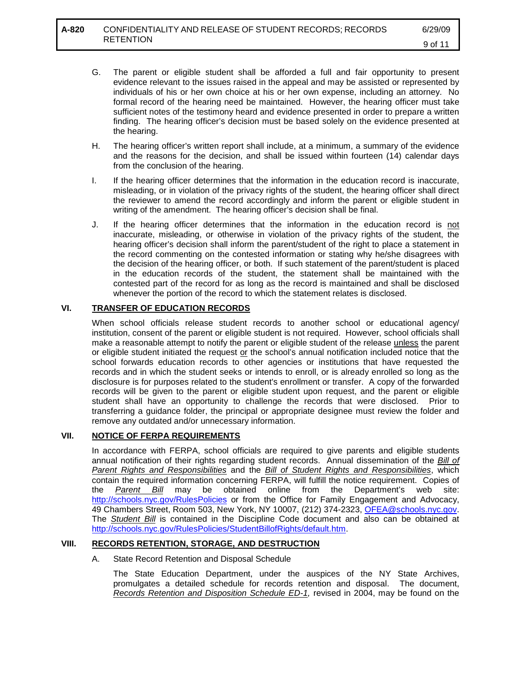- G. The parent or eligible student shall be afforded a full and fair opportunity to present evidence relevant to the issues raised in the appeal and may be assisted or represented by individuals of his or her own choice at his or her own expense, including an attorney. No formal record of the hearing need be maintained. However, the hearing officer must take sufficient notes of the testimony heard and evidence presented in order to prepare a written finding. The hearing officer's decision must be based solely on the evidence presented at the hearing.
- H. The hearing officer's written report shall include, at a minimum, a summary of the evidence and the reasons for the decision, and shall be issued within fourteen (14) calendar days from the conclusion of the hearing.
- I. If the hearing officer determines that the information in the education record is inaccurate, misleading, or in violation of the privacy rights of the student, the hearing officer shall direct the reviewer to amend the record accordingly and inform the parent or eligible student in writing of the amendment. The hearing officer's decision shall be final.
- J. If the hearing officer determines that the information in the education record is not inaccurate, misleading, or otherwise in violation of the privacy rights of the student, the hearing officer's decision shall inform the parent/student of the right to place a statement in the record commenting on the contested information or stating why he/she disagrees with the decision of the hearing officer, or both. If such statement of the parent/student is placed in the education records of the student, the statement shall be maintained with the contested part of the record for as long as the record is maintained and shall be disclosed whenever the portion of the record to which the statement relates is disclosed.

### **VI. TRANSFER OF EDUCATION RECORDS**

When school officials release student records to another school or educational agency/ institution, consent of the parent or eligible student is not required. However, school officials shall make a reasonable attempt to notify the parent or eligible student of the release unless the parent or eligible student initiated the request or the school's annual notification included notice that the school forwards education records to other agencies or institutions that have requested the records and in which the student seeks or intends to enroll, or is already enrolled so long as the disclosure is for purposes related to the student's enrollment or transfer. A copy of the forwarded records will be given to the parent or eligible student upon request, and the parent or eligible student shall have an opportunity to challenge the records that were disclosed. Prior to transferring a guidance folder, the principal or appropriate designee must review the folder and remove any outdated and/or unnecessary information.

### **VII. NOTICE OF FERPA REQUIREMENTS**

In accordance with FERPA, school officials are required to give parents and eligible students annual notification of their rights regarding student records. Annual dissemination of the *Bill of Parent Rights and Responsibilities* and the *Bill of Student Rights and Responsibilities*, which contain the required information concerning FERPA, will fulfill the notice requirement. Copies of the *Parent Bill* may be obtained online from the Department's web site: <http://schools.nyc.gov/RulesPolicies> or from the Office for Family Engagement and Advocacy, 49 Chambers Street, Room 503, New York, NY 10007, (212) 374-2323, [OFEA@schools.nyc.gov.](mailto:OFEA@schools.nyc.gov) The *Student Bill* is contained in the Discipline Code document and also can be obtained at [http://schools.nyc.gov/RulesPolicies/StudentBillofRights/default.htm.](http://schools.nyc.gov/RulesPolicies/StudentBillofRights/default.htm)

### **VIII. RECORDS RETENTION, STORAGE, AND DESTRUCTION**

### A. State Record Retention and Disposal Schedule

The State Education Department, under the auspices of the NY State Archives, promulgates a detailed schedule for records retention and disposal. The document, *Records Retention and Disposition Schedule ED-1,* revised in 2004, may be found on the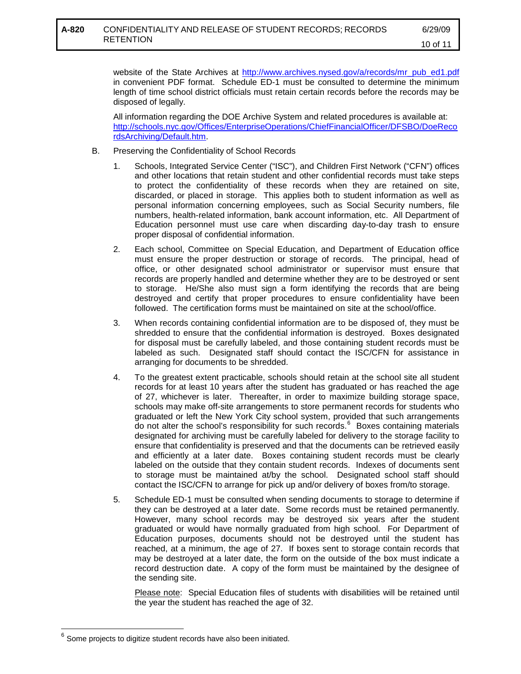website of the State Archives at [http://www.archives.nysed.gov/a/records/mr\\_pub\\_ed1.pdf](http://www.archives.nysed.gov/a/records/mr_pub_ed1.pdf) in convenient PDF format. Schedule ED-1 must be consulted to determine the minimum length of time school district officials must retain certain records before the records may be disposed of legally.

All information regarding the DOE Archive System and related procedures is available at: [http://schools.nyc.gov/Offices/EnterpriseOperations/ChiefFinancialOfficer/DFSBO/DoeReco](http://schools.nyc.gov/Offices/EnterpriseOperations/ChiefFinancialOfficer/DFSBO/DoeRecordsArchiving/Default.htm) [rdsArchiving/Default.htm.](http://schools.nyc.gov/Offices/EnterpriseOperations/ChiefFinancialOfficer/DFSBO/DoeRecordsArchiving/Default.htm)

- B. Preserving the Confidentiality of School Records
	- 1. Schools, Integrated Service Center ("ISC"), and Children First Network ("CFN") offices and other locations that retain student and other confidential records must take steps to protect the confidentiality of these records when they are retained on site, discarded, or placed in storage. This applies both to student information as well as personal information concerning employees, such as Social Security numbers, file numbers, health-related information, bank account information, etc. All Department of Education personnel must use care when discarding day-to-day trash to ensure proper disposal of confidential information.
	- 2. Each school, Committee on Special Education, and Department of Education office must ensure the proper destruction or storage of records. The principal, head of office, or other designated school administrator or supervisor must ensure that records are properly handled and determine whether they are to be destroyed or sent to storage. He/She also must sign a form identifying the records that are being destroyed and certify that proper procedures to ensure confidentiality have been followed. The certification forms must be maintained on site at the school/office.
	- 3. When records containing confidential information are to be disposed of, they must be shredded to ensure that the confidential information is destroyed. Boxes designated for disposal must be carefully labeled, and those containing student records must be labeled as such. Designated staff should contact the ISC/CFN for assistance in arranging for documents to be shredded.
	- 4. To the greatest extent practicable, schools should retain at the school site all student records for at least 10 years after the student has graduated or has reached the age of 27, whichever is later. Thereafter, in order to maximize building storage space, schools may make off-site arrangements to store permanent records for students who graduated or left the New York City school system, provided that such arrangements do not alter the school's responsibility for such records. [6](#page-10-0) Boxes containing materials designated for archiving must be carefully labeled for delivery to the storage facility to ensure that confidentiality is preserved and that the documents can be retrieved easily and efficiently at a later date. Boxes containing student records must be clearly labeled on the outside that they contain student records. Indexes of documents sent to storage must be maintained at/by the school. Designated school staff should contact the ISC/CFN to arrange for pick up and/or delivery of boxes from/to storage.
	- 5. Schedule ED-1 must be consulted when sending documents to storage to determine if they can be destroyed at a later date. Some records must be retained permanently. However, many school records may be destroyed six years after the student graduated or would have normally graduated from high school. For Department of Education purposes, documents should not be destroyed until the student has reached, at a minimum, the age of 27. If boxes sent to storage contain records that may be destroyed at a later date, the form on the outside of the box must indicate a record destruction date. A copy of the form must be maintained by the designee of the sending site.

Please note: Special Education files of students with disabilities will be retained until the year the student has reached the age of 32.

 $\overline{a}$ 

<span id="page-10-0"></span> $^6$  Some projects to digitize student records have also been initiated.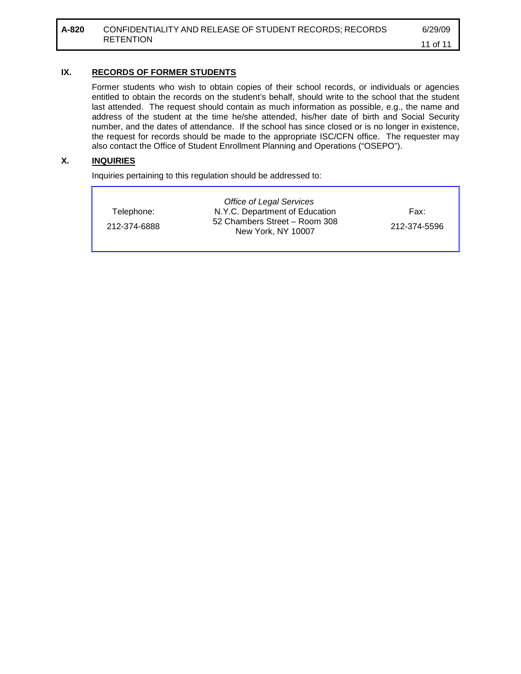## **IX. RECORDS OF FORMER STUDENTS**

Former students who wish to obtain copies of their school records, or individuals or agencies entitled to obtain the records on the student's behalf, should write to the school that the student last attended. The request should contain as much information as possible, e.g., the name and address of the student at the time he/she attended, his/her date of birth and Social Security number, and the dates of attendance. If the school has since closed or is no longer in existence, the request for records should be made to the appropriate ISC/CFN office. The requester may also contact the Office of Student Enrollment Planning and Operations ("OSEPO").

### **X. INQUIRIES**

Inquiries pertaining to this regulation should be addressed to:

|              | Office of Legal Services                            |              |
|--------------|-----------------------------------------------------|--------------|
| Telephone:   | N.Y.C. Department of Education                      | Fax:         |
| 212-374-6888 | 52 Chambers Street - Room 308<br>New York, NY 10007 | 212-374-5596 |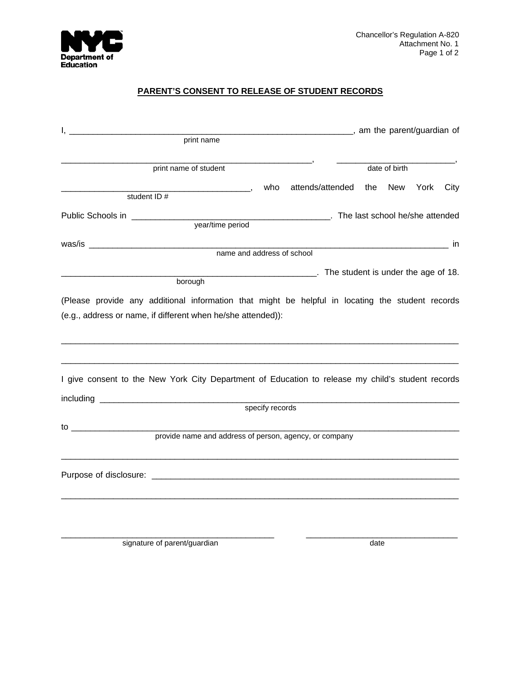

# **PARENT'S CONSENT TO RELEASE OF STUDENT RECORDS**

| <u>l, __________________________</u><br>print name |                                                                                                                                                                   |                 |                                                         | ____________________, am the parent/guardian of |  |               |      |      |  |
|----------------------------------------------------|-------------------------------------------------------------------------------------------------------------------------------------------------------------------|-----------------|---------------------------------------------------------|-------------------------------------------------|--|---------------|------|------|--|
|                                                    |                                                                                                                                                                   |                 |                                                         |                                                 |  |               |      |      |  |
|                                                    | print name of student                                                                                                                                             |                 |                                                         |                                                 |  | date of birth |      |      |  |
|                                                    |                                                                                                                                                                   |                 | who attends/attended the                                |                                                 |  | New           | York | City |  |
|                                                    | student ID#                                                                                                                                                       |                 |                                                         |                                                 |  |               |      |      |  |
| Public Schools in ____________                     |                                                                                                                                                                   |                 | The last school he/she attended                         |                                                 |  |               |      |      |  |
|                                                    | year/time period                                                                                                                                                  |                 |                                                         |                                                 |  |               |      |      |  |
|                                                    |                                                                                                                                                                   |                 |                                                         |                                                 |  |               |      |      |  |
|                                                    | name and address of school                                                                                                                                        |                 |                                                         |                                                 |  |               |      |      |  |
|                                                    |                                                                                                                                                                   |                 | <b>EXAMPLE 2018</b> The student is under the age of 18. |                                                 |  |               |      |      |  |
|                                                    | borough                                                                                                                                                           |                 |                                                         |                                                 |  |               |      |      |  |
|                                                    | (e.g., address or name, if different when he/she attended)):<br>I give consent to the New York City Department of Education to release my child's student records |                 |                                                         |                                                 |  |               |      |      |  |
|                                                    |                                                                                                                                                                   | specify records |                                                         |                                                 |  |               |      |      |  |
|                                                    | provide name and address of person, agency, or company                                                                                                            |                 |                                                         |                                                 |  |               |      |      |  |
|                                                    |                                                                                                                                                                   |                 |                                                         |                                                 |  |               |      |      |  |
|                                                    |                                                                                                                                                                   |                 |                                                         |                                                 |  |               |      |      |  |

\_\_\_\_\_\_\_\_\_\_\_\_\_\_\_\_\_\_\_\_\_\_\_\_\_\_\_\_\_\_\_\_\_\_\_\_\_\_\_\_\_\_\_\_\_ \_\_\_\_\_\_\_\_\_\_\_\_\_\_\_\_\_\_\_\_\_\_\_\_\_\_\_\_\_\_\_\_

signature of parent/guardian date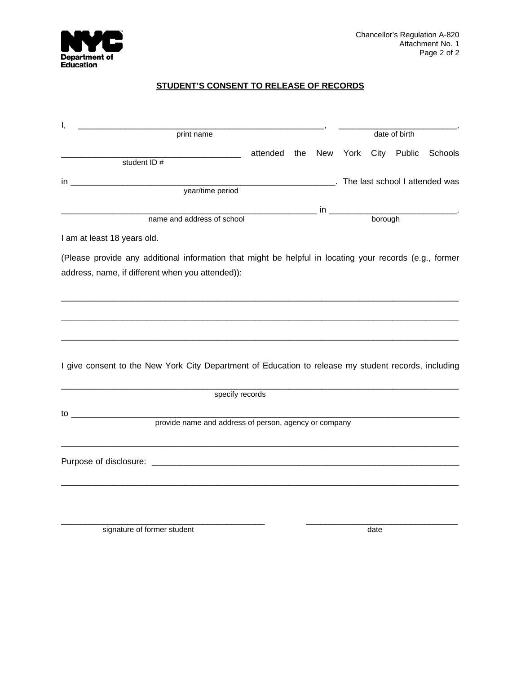

## **STUDENT'S CONSENT TO RELEASE OF RECORDS**

| Ι,                                                                                                      |                            |     |     |                                                                                                                                                                                                                                |               |             |                                                    |  |  |
|---------------------------------------------------------------------------------------------------------|----------------------------|-----|-----|--------------------------------------------------------------------------------------------------------------------------------------------------------------------------------------------------------------------------------|---------------|-------------|----------------------------------------------------|--|--|
| print name                                                                                              |                            |     |     |                                                                                                                                                                                                                                | date of birth |             |                                                    |  |  |
| student ID #                                                                                            | attended                   | the | New | York                                                                                                                                                                                                                           |               | City Public | Schools                                            |  |  |
|                                                                                                         |                            |     |     |                                                                                                                                                                                                                                |               |             |                                                    |  |  |
| year/time period                                                                                        |                            |     |     |                                                                                                                                                                                                                                |               |             | <b>EXAMPLE 2014</b> The last school I attended was |  |  |
|                                                                                                         |                            |     |     |                                                                                                                                                                                                                                |               |             |                                                    |  |  |
|                                                                                                         | name and address of school |     |     | borough values of the contract of the contract of the contract of the contract of the contract of the contract of the contract of the contract of the contract of the contract of the contract of the contract of the contract |               |             |                                                    |  |  |
| I am at least 18 years old.                                                                             |                            |     |     |                                                                                                                                                                                                                                |               |             |                                                    |  |  |
| (Please provide any additional information that might be helpful in locating your records (e.g., former |                            |     |     |                                                                                                                                                                                                                                |               |             |                                                    |  |  |
| address, name, if different when you attended)):                                                        |                            |     |     |                                                                                                                                                                                                                                |               |             |                                                    |  |  |
|                                                                                                         |                            |     |     |                                                                                                                                                                                                                                |               |             |                                                    |  |  |
|                                                                                                         |                            |     |     |                                                                                                                                                                                                                                |               |             |                                                    |  |  |
|                                                                                                         |                            |     |     |                                                                                                                                                                                                                                |               |             |                                                    |  |  |
|                                                                                                         |                            |     |     |                                                                                                                                                                                                                                |               |             |                                                    |  |  |
|                                                                                                         |                            |     |     |                                                                                                                                                                                                                                |               |             |                                                    |  |  |
| I give consent to the New York City Department of Education to release my student records, including    |                            |     |     |                                                                                                                                                                                                                                |               |             |                                                    |  |  |
|                                                                                                         |                            |     |     |                                                                                                                                                                                                                                |               |             |                                                    |  |  |
| specify records                                                                                         |                            |     |     |                                                                                                                                                                                                                                |               |             |                                                    |  |  |
|                                                                                                         |                            |     |     |                                                                                                                                                                                                                                |               |             |                                                    |  |  |
| $\overline{a}$<br>provide name and address of person, agency or company                                 |                            |     |     |                                                                                                                                                                                                                                |               |             |                                                    |  |  |
|                                                                                                         |                            |     |     |                                                                                                                                                                                                                                |               |             |                                                    |  |  |
|                                                                                                         |                            |     |     |                                                                                                                                                                                                                                |               |             |                                                    |  |  |
|                                                                                                         |                            |     |     |                                                                                                                                                                                                                                |               |             |                                                    |  |  |
|                                                                                                         |                            |     |     |                                                                                                                                                                                                                                |               |             |                                                    |  |  |
|                                                                                                         |                            |     |     |                                                                                                                                                                                                                                |               |             |                                                    |  |  |
|                                                                                                         |                            |     |     |                                                                                                                                                                                                                                |               |             |                                                    |  |  |

signature of former student date

\_\_\_\_\_\_\_\_\_\_\_\_\_\_\_\_\_\_\_\_\_\_\_\_\_\_\_\_\_\_\_\_\_\_\_\_\_\_\_\_\_\_\_ \_\_\_\_\_\_\_\_\_\_\_\_\_\_\_\_\_\_\_\_\_\_\_\_\_\_\_\_\_\_\_\_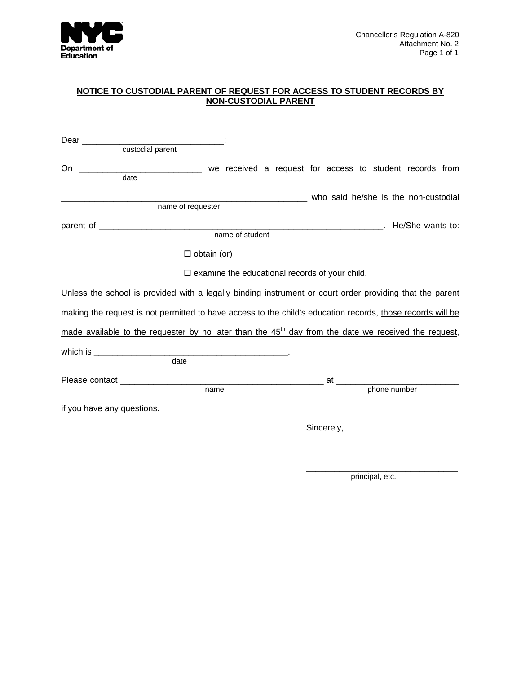

#### **NOTICE TO CUSTODIAL PARENT OF REQUEST FOR ACCESS TO STUDENT RECORDS BY NON-CUSTODIAL PARENT**

| custodial parent                                                                                           |                                                          |            |                                      |  |
|------------------------------------------------------------------------------------------------------------|----------------------------------------------------------|------------|--------------------------------------|--|
| On __________________________________ we received a request for access to student records from<br>date     |                                                          |            |                                      |  |
| name of requester                                                                                          |                                                          |            | who said he/she is the non-custodial |  |
|                                                                                                            |                                                          |            |                                      |  |
|                                                                                                            |                                                          |            | The She wants to:                    |  |
|                                                                                                            | name of student                                          |            |                                      |  |
| $\square$ obtain (or)                                                                                      |                                                          |            |                                      |  |
|                                                                                                            | $\square$ examine the educational records of your child. |            |                                      |  |
| Unless the school is provided with a legally binding instrument or court order providing that the parent   |                                                          |            |                                      |  |
| making the request is not permitted to have access to the child's education records, those records will be |                                                          |            |                                      |  |
| made available to the requester by no later than the $45th$ day from the date we received the request,     |                                                          |            |                                      |  |
|                                                                                                            |                                                          |            |                                      |  |
| date                                                                                                       |                                                          |            |                                      |  |
|                                                                                                            |                                                          |            |                                      |  |
| name                                                                                                       |                                                          |            | phone number                         |  |
| if you have any questions.                                                                                 |                                                          |            |                                      |  |
|                                                                                                            |                                                          | Sincerely, |                                      |  |

 $\mathcal{L}_\mathcal{L}$  , which is a set of the set of the set of the set of the set of the set of the set of the set of the set of the set of the set of the set of the set of the set of the set of the set of the set of the set of

principal, etc.